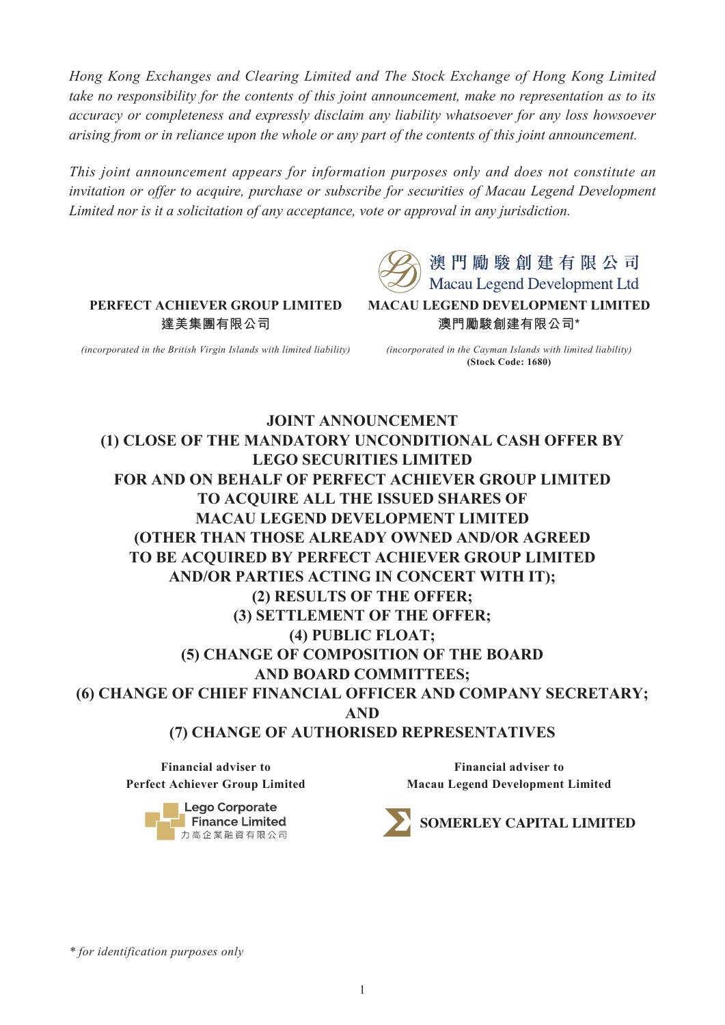*Hong Kong Exchanges and Clearing Limited and The Stock Exchange of Hong Kong Limited take no responsibility for the contents of this joint announcement, make no representation as to its accuracy or completeness and expressly disclaim any liability whatsoever for any loss howsoever arising from or in reliance upon the whole or any part of the contents of this joint announcement.* 

*This joint announcement appears for information purposes only and does not constitute an invitation or offer to acquire, purchase or subscribe for securities of Macau Legend Development Limited nor is it a solicitation of any acceptance, vote or approval in any jurisdiction.* 



**PERFECT ACHIEVER GROUP LIMITED 達美集團有限公司**

*(incorporated in the British Virgin Islands with limited liability)*

*(incorporated in the Cayman Islands with limited liability)* **(Stock Code: 1680)**

**JOINT ANNOUNCEMENT (1) CLOSE OF THE MANDATORY UNCONDITIONAL CASH OFFER BY LEGO SECURITIES LIMITED FOR AND ON BEHALF OF PERFECT ACHIEVER GROUP LIMITED TO ACQUIRE ALL THE ISSUED SHARES OF MACAU LEGEND DEVELOPMENT LIMITED (OTHER THAN THOSE ALREADY OWNED AND/OR AGREED TO BE ACQUIRED BY PERFECT ACHIEVER GROUP LIMITED AND/OR PARTIES ACTING IN CONCERT WITH IT); (2) RESULTS OF THE OFFER; (3) SETTLEMENT OF THE OFFER; (4) PUBLIC FLOAT; (5) CHANGE OF COMPOSITION OF THE BOARD AND BOARD COMMITTEES; (6) CHANGE OF CHIEF FINANCIAL OFFICER AND COMPANY SECRETARY; AND (7) CHANGE OF AUTHORISED REPRESENTATIVES** 

**Financial adviser to Perfect Achiever Group Limited**

> **Lego Corporate Finance Limited** 力高企業融資有限公司

**Financial adviser to Macau Legend Development Limited**



*\* for identification purposes only*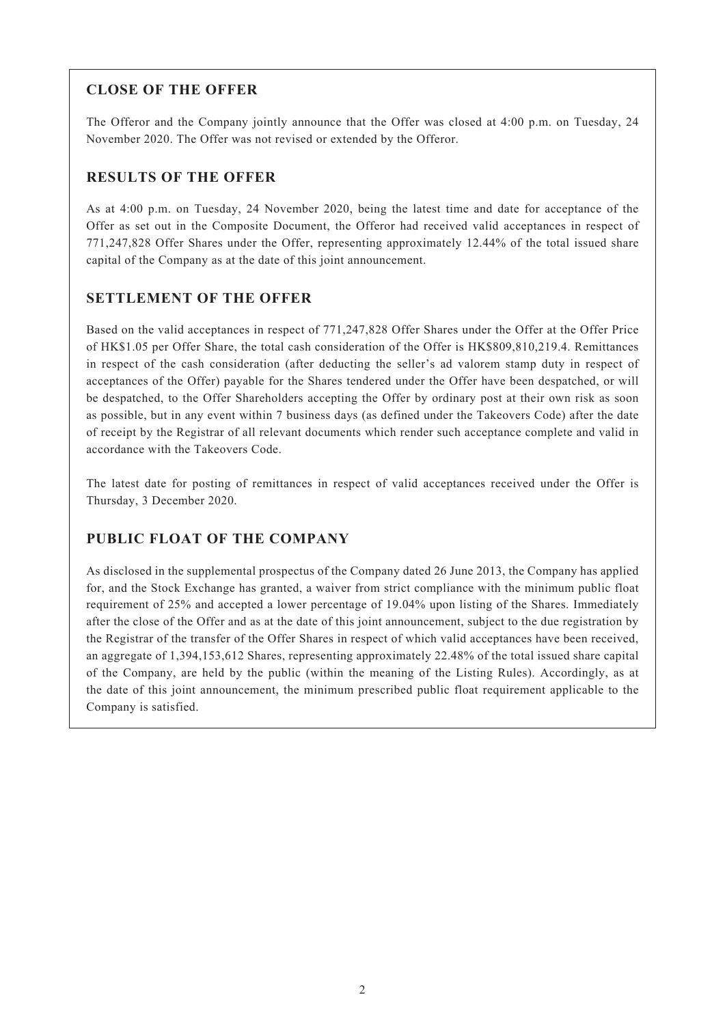### **CLOSE OF THE OFFER**

The Offeror and the Company jointly announce that the Offer was closed at 4:00 p.m. on Tuesday, 24 November 2020. The Offer was not revised or extended by the Offeror.

### **RESULTS OF THE OFFER**

As at 4:00 p.m. on Tuesday, 24 November 2020, being the latest time and date for acceptance of the Offer as set out in the Composite Document, the Offeror had received valid acceptances in respect of 771,247,828 Offer Shares under the Offer, representing approximately 12.44% of the total issued share capital of the Company as at the date of this joint announcement.

## **SETTLEMENT OF THE OFFER**

Based on the valid acceptances in respect of 771,247,828 Offer Shares under the Offer at the Offer Price of HK\$1.05 per Offer Share, the total cash consideration of the Offer is HK\$809,810,219.4. Remittances in respect of the cash consideration (after deducting the seller's ad valorem stamp duty in respect of acceptances of the Offer) payable for the Shares tendered under the Offer have been despatched, or will be despatched, to the Offer Shareholders accepting the Offer by ordinary post at their own risk as soon as possible, but in any event within 7 business days (as defined under the Takeovers Code) after the date of receipt by the Registrar of all relevant documents which render such acceptance complete and valid in accordance with the Takeovers Code.

The latest date for posting of remittances in respect of valid acceptances received under the Offer is Thursday, 3 December 2020.

## **PUBLIC FLOAT OF THE COMPANY**

As disclosed in the supplemental prospectus of the Company dated 26 June 2013, the Company has applied for, and the Stock Exchange has granted, a waiver from strict compliance with the minimum public float requirement of 25% and accepted a lower percentage of 19.04% upon listing of the Shares. Immediately after the close of the Offer and as at the date of this joint announcement, subject to the due registration by the Registrar of the transfer of the Offer Shares in respect of which valid acceptances have been received, an aggregate of 1,394,153,612 Shares, representing approximately 22.48% of the total issued share capital of the Company, are held by the public (within the meaning of the Listing Rules). Accordingly, as at the date of this joint announcement, the minimum prescribed public float requirement applicable to the Company is satisfied.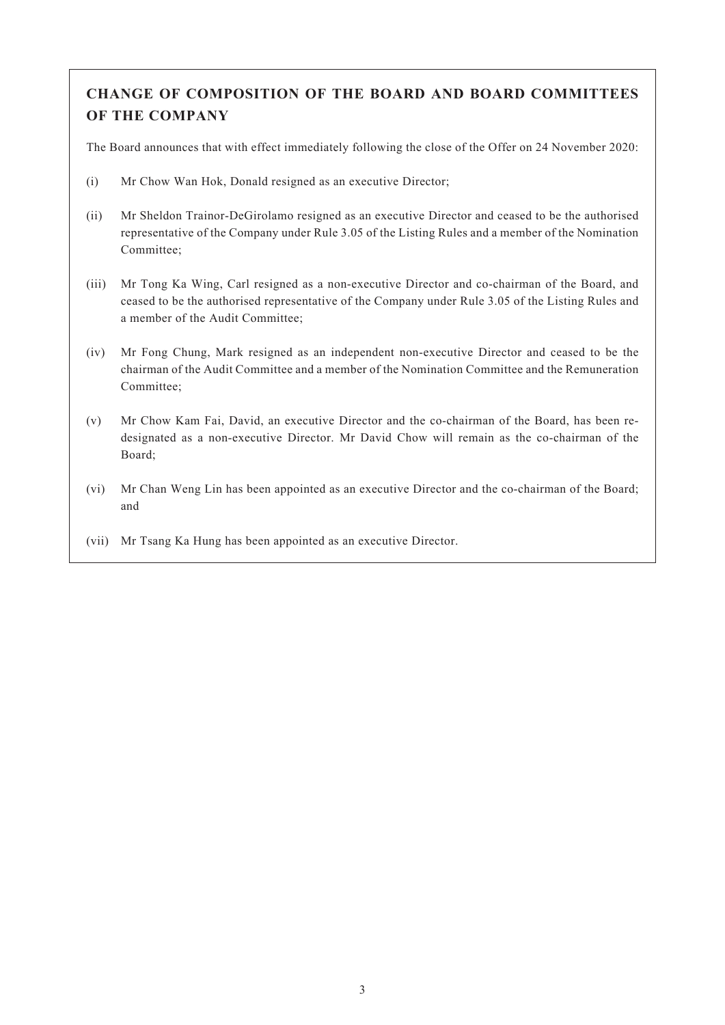# **CHANGE OF COMPOSITION OF THE BOARD AND BOARD COMMITTEES OF THE COMPANY**

The Board announces that with effect immediately following the close of the Offer on 24 November 2020:

- (i) Mr Chow Wan Hok, Donald resigned as an executive Director;
- (ii) Mr Sheldon Trainor-DeGirolamo resigned as an executive Director and ceased to be the authorised representative of the Company under Rule 3.05 of the Listing Rules and a member of the Nomination Committee;
- (iii) Mr Tong Ka Wing, Carl resigned as a non-executive Director and co-chairman of the Board, and ceased to be the authorised representative of the Company under Rule 3.05 of the Listing Rules and a member of the Audit Committee;
- (iv) Mr Fong Chung, Mark resigned as an independent non-executive Director and ceased to be the chairman of the Audit Committee and a member of the Nomination Committee and the Remuneration Committee;
- (v) Mr Chow Kam Fai, David, an executive Director and the co-chairman of the Board, has been redesignated as a non-executive Director. Mr David Chow will remain as the co-chairman of the Board;
- (vi) Mr Chan Weng Lin has been appointed as an executive Director and the co-chairman of the Board; and
- (vii) Mr Tsang Ka Hung has been appointed as an executive Director.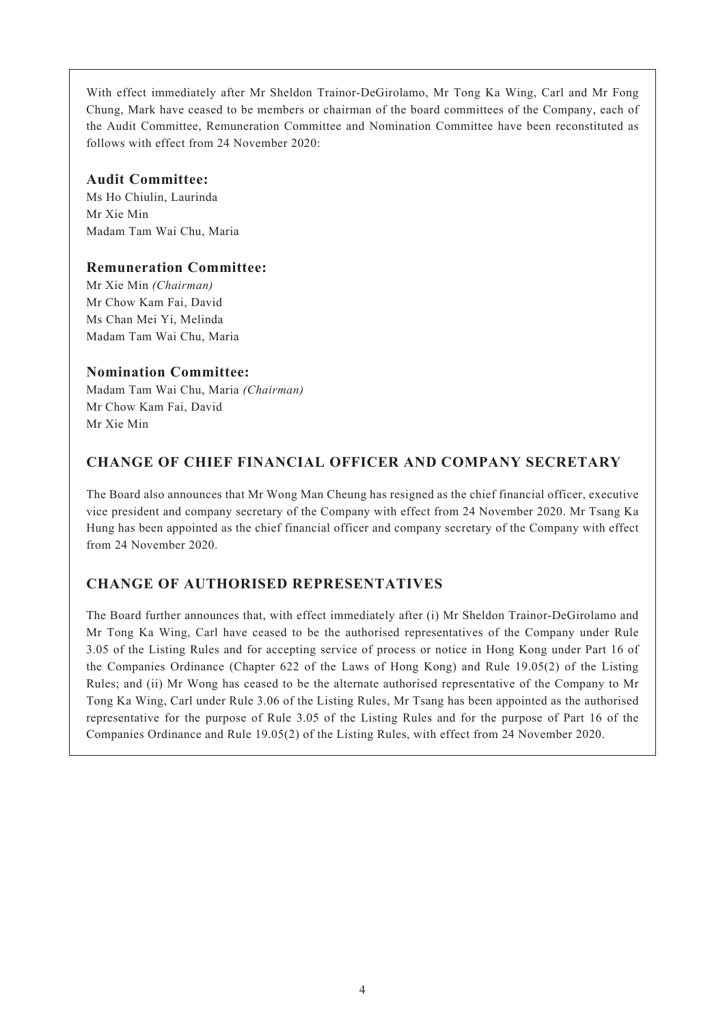With effect immediately after Mr Sheldon Trainor-DeGirolamo, Mr Tong Ka Wing, Carl and Mr Fong Chung, Mark have ceased to be members or chairman of the board committees of the Company, each of the Audit Committee, Remuneration Committee and Nomination Committee have been reconstituted as follows with effect from 24 November 2020:

#### **Audit Committee:**

Ms Ho Chiulin, Laurinda Mr Xie Min Madam Tam Wai Chu, Maria

### **Remuneration Committee:**

Mr Xie Min *(Chairman)* Mr Chow Kam Fai, David Ms Chan Mei Yi, Melinda Madam Tam Wai Chu, Maria

### **Nomination Committee:**

Madam Tam Wai Chu, Maria *(Chairman)* Mr Chow Kam Fai, David Mr Xie Min

## **CHANGE OF CHIEF FINANCIAL OFFICER AND COMPANY SECRETARY**

The Board also announces that Mr Wong Man Cheung has resigned as the chief financial officer, executive vice president and company secretary of the Company with effect from 24 November 2020. Mr Tsang Ka Hung has been appointed as the chief financial officer and company secretary of the Company with effect from 24 November 2020.

## **CHANGE OF AUTHORISED REPRESENTATIVES**

The Board further announces that, with effect immediately after (i) Mr Sheldon Trainor-DeGirolamo and Mr Tong Ka Wing, Carl have ceased to be the authorised representatives of the Company under Rule 3.05 of the Listing Rules and for accepting service of process or notice in Hong Kong under Part 16 of the Companies Ordinance (Chapter 622 of the Laws of Hong Kong) and Rule 19.05(2) of the Listing Rules; and (ii) Mr Wong has ceased to be the alternate authorised representative of the Company to Mr Tong Ka Wing, Carl under Rule 3.06 of the Listing Rules, Mr Tsang has been appointed as the authorised representative for the purpose of Rule 3.05 of the Listing Rules and for the purpose of Part 16 of the Companies Ordinance and Rule 19.05(2) of the Listing Rules, with effect from 24 November 2020.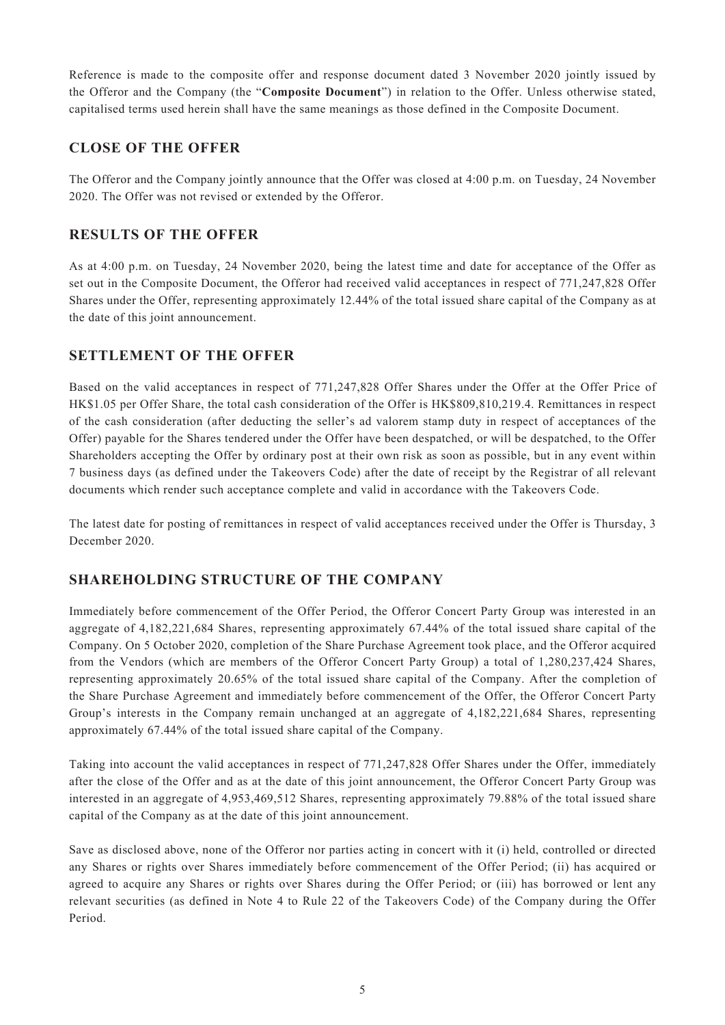Reference is made to the composite offer and response document dated 3 November 2020 jointly issued by the Offeror and the Company (the "**Composite Document**") in relation to the Offer. Unless otherwise stated, capitalised terms used herein shall have the same meanings as those defined in the Composite Document.

#### **CLOSE OF THE OFFER**

The Offeror and the Company jointly announce that the Offer was closed at 4:00 p.m. on Tuesday, 24 November 2020. The Offer was not revised or extended by the Offeror.

#### **RESULTS OF THE OFFER**

As at 4:00 p.m. on Tuesday, 24 November 2020, being the latest time and date for acceptance of the Offer as set out in the Composite Document, the Offeror had received valid acceptances in respect of 771,247,828 Offer Shares under the Offer, representing approximately 12.44% of the total issued share capital of the Company as at the date of this joint announcement.

### **SETTLEMENT OF THE OFFER**

Based on the valid acceptances in respect of 771,247,828 Offer Shares under the Offer at the Offer Price of HK\$1.05 per Offer Share, the total cash consideration of the Offer is HK\$809,810,219.4. Remittances in respect of the cash consideration (after deducting the seller's ad valorem stamp duty in respect of acceptances of the Offer) payable for the Shares tendered under the Offer have been despatched, or will be despatched, to the Offer Shareholders accepting the Offer by ordinary post at their own risk as soon as possible, but in any event within 7 business days (as defined under the Takeovers Code) after the date of receipt by the Registrar of all relevant documents which render such acceptance complete and valid in accordance with the Takeovers Code.

The latest date for posting of remittances in respect of valid acceptances received under the Offer is Thursday, 3 December 2020.

### **SHAREHOLDING STRUCTURE OF THE COMPANY**

Immediately before commencement of the Offer Period, the Offeror Concert Party Group was interested in an aggregate of 4,182,221,684 Shares, representing approximately 67.44% of the total issued share capital of the Company. On 5 October 2020, completion of the Share Purchase Agreement took place, and the Offeror acquired from the Vendors (which are members of the Offeror Concert Party Group) a total of 1,280,237,424 Shares, representing approximately 20.65% of the total issued share capital of the Company. After the completion of the Share Purchase Agreement and immediately before commencement of the Offer, the Offeror Concert Party Group's interests in the Company remain unchanged at an aggregate of 4,182,221,684 Shares, representing approximately 67.44% of the total issued share capital of the Company.

Taking into account the valid acceptances in respect of 771,247,828 Offer Shares under the Offer, immediately after the close of the Offer and as at the date of this joint announcement, the Offeror Concert Party Group was interested in an aggregate of 4,953,469,512 Shares, representing approximately 79.88% of the total issued share capital of the Company as at the date of this joint announcement.

Save as disclosed above, none of the Offeror nor parties acting in concert with it (i) held, controlled or directed any Shares or rights over Shares immediately before commencement of the Offer Period; (ii) has acquired or agreed to acquire any Shares or rights over Shares during the Offer Period; or (iii) has borrowed or lent any relevant securities (as defined in Note 4 to Rule 22 of the Takeovers Code) of the Company during the Offer Period.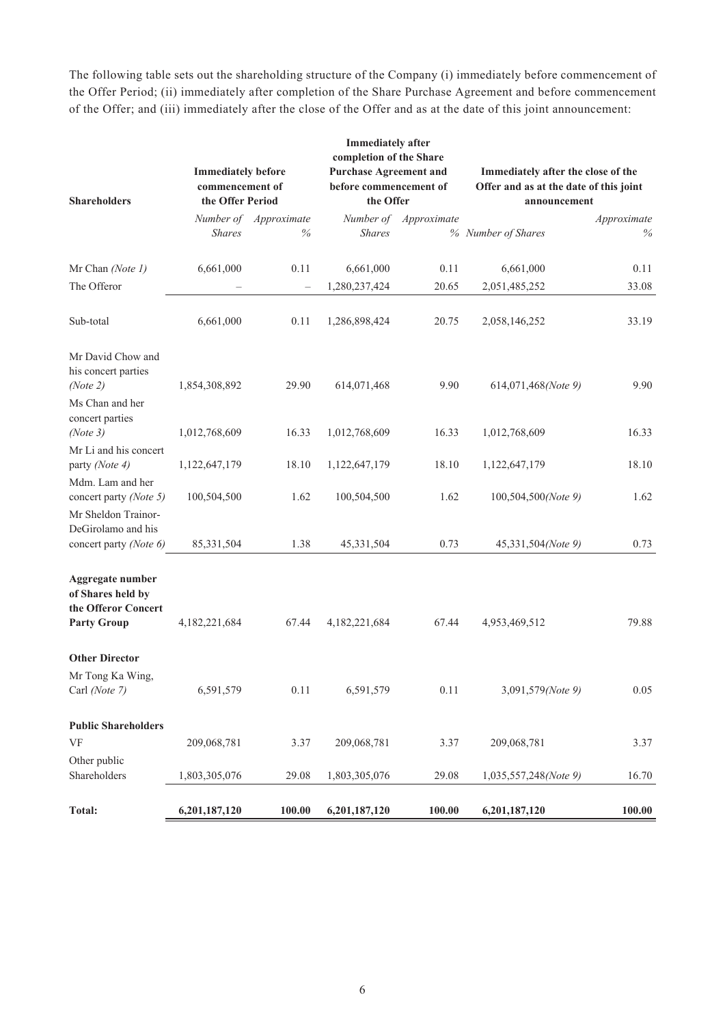The following table sets out the shareholding structure of the Company (i) immediately before commencement of the Offer Period; (ii) immediately after completion of the Share Purchase Agreement and before commencement of the Offer; and (iii) immediately after the close of the Offer and as at the date of this joint announcement:

| <b>Shareholders</b>                                                                | <b>Immediately before</b><br>commencement of<br>the Offer Period |                               | <b>Immediately after</b><br>completion of the Share<br><b>Purchase Agreement and</b><br>before commencement of<br>the Offer |                       | Immediately after the close of the<br>Offer and as at the date of this joint<br>announcement |                     |
|------------------------------------------------------------------------------------|------------------------------------------------------------------|-------------------------------|-----------------------------------------------------------------------------------------------------------------------------|-----------------------|----------------------------------------------------------------------------------------------|---------------------|
|                                                                                    | <b>Shares</b>                                                    | Number of Approximate<br>$\%$ | <b>Shares</b>                                                                                                               | Number of Approximate | % Number of Shares                                                                           | Approximate<br>$\%$ |
| Mr Chan (Note 1)                                                                   | 6,661,000                                                        | 0.11                          | 6,661,000                                                                                                                   | 0.11                  | 6,661,000                                                                                    | 0.11                |
| The Offeror                                                                        |                                                                  | $\overline{\phantom{0}}$      | 1,280,237,424                                                                                                               | 20.65                 | 2,051,485,252                                                                                | 33.08               |
| Sub-total                                                                          | 6,661,000                                                        | 0.11                          | 1,286,898,424                                                                                                               | 20.75                 | 2,058,146,252                                                                                | 33.19               |
| Mr David Chow and<br>his concert parties<br>(Note 2)                               | 1,854,308,892                                                    | 29.90                         | 614,071,468                                                                                                                 | 9.90                  | 614,071,468(Note 9)                                                                          | 9.90                |
| Ms Chan and her<br>concert parties<br>(Note 3)                                     | 1,012,768,609                                                    | 16.33                         | 1,012,768,609                                                                                                               | 16.33                 | 1,012,768,609                                                                                | 16.33               |
| Mr Li and his concert<br>party (Note 4)                                            | 1,122,647,179                                                    | 18.10                         | 1,122,647,179                                                                                                               | 18.10                 | 1,122,647,179                                                                                | 18.10               |
| Mdm. Lam and her<br>concert party (Note 5)                                         | 100,504,500                                                      | 1.62                          | 100,504,500                                                                                                                 | 1.62                  | 100,504,500(Note 9)                                                                          | 1.62                |
| Mr Sheldon Trainor-<br>DeGirolamo and his<br>concert party (Note 6)                | 85,331,504                                                       | 1.38                          | 45,331,504                                                                                                                  | 0.73                  | 45,331,504(Note 9)                                                                           | 0.73                |
| Aggregate number<br>of Shares held by<br>the Offeror Concert<br><b>Party Group</b> | 4,182,221,684                                                    | 67.44                         | 4,182,221,684                                                                                                               | 67.44                 | 4,953,469,512                                                                                | 79.88               |
| <b>Other Director</b><br>Mr Tong Ka Wing,<br>Carl (Note 7)                         | 6,591,579                                                        | 0.11                          | 6,591,579                                                                                                                   | 0.11                  | 3,091,579(Note 9)                                                                            | 0.05                |
| <b>Public Shareholders</b><br>VF                                                   | 209,068,781                                                      | 3.37                          | 209,068,781                                                                                                                 | 3.37                  | 209,068,781                                                                                  | 3.37                |
| Other public<br>Shareholders                                                       | 1,803,305,076                                                    | 29.08                         | 1,803,305,076                                                                                                               | 29.08                 | 1,035,557,248(Note 9)                                                                        | 16.70               |
| <b>Total:</b>                                                                      | 6,201,187,120                                                    | 100.00                        | 6,201,187,120                                                                                                               | 100.00                | 6,201,187,120                                                                                | 100.00              |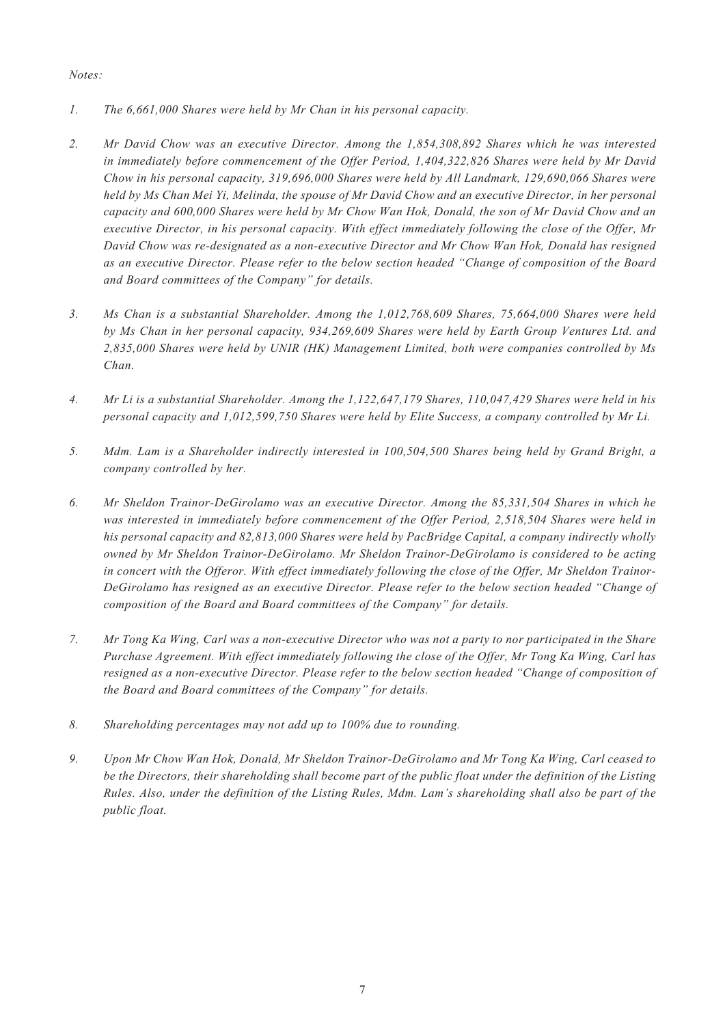*Notes:*

- *1. The 6,661,000 Shares were held by Mr Chan in his personal capacity.*
- *2. Mr David Chow was an executive Director. Among the 1,854,308,892 Shares which he was interested in immediately before commencement of the Offer Period, 1,404,322,826 Shares were held by Mr David Chow in his personal capacity, 319,696,000 Shares were held by All Landmark, 129,690,066 Shares were held by Ms Chan Mei Yi, Melinda, the spouse of Mr David Chow and an executive Director, in her personal capacity and 600,000 Shares were held by Mr Chow Wan Hok, Donald, the son of Mr David Chow and an executive Director, in his personal capacity. With effect immediately following the close of the Offer, Mr David Chow was re-designated as a non-executive Director and Mr Chow Wan Hok, Donald has resigned as an executive Director. Please refer to the below section headed "Change of composition of the Board and Board committees of the Company" for details.*
- *3. Ms Chan is a substantial Shareholder. Among the 1,012,768,609 Shares, 75,664,000 Shares were held by Ms Chan in her personal capacity, 934,269,609 Shares were held by Earth Group Ventures Ltd. and 2,835,000 Shares were held by UNIR (HK) Management Limited, both were companies controlled by Ms Chan.*
- *4. Mr Li is a substantial Shareholder. Among the 1,122,647,179 Shares, 110,047,429 Shares were held in his personal capacity and 1,012,599,750 Shares were held by Elite Success, a company controlled by Mr Li.*
- *5. Mdm. Lam is a Shareholder indirectly interested in 100,504,500 Shares being held by Grand Bright, a company controlled by her.*
- *6. Mr Sheldon Trainor-DeGirolamo was an executive Director. Among the 85,331,504 Shares in which he was interested in immediately before commencement of the Offer Period, 2,518,504 Shares were held in his personal capacity and 82,813,000 Shares were held by PacBridge Capital, a company indirectly wholly owned by Mr Sheldon Trainor-DeGirolamo. Mr Sheldon Trainor-DeGirolamo is considered to be acting in concert with the Offeror. With effect immediately following the close of the Offer, Mr Sheldon Trainor-DeGirolamo has resigned as an executive Director. Please refer to the below section headed "Change of composition of the Board and Board committees of the Company" for details.*
- *7. Mr Tong Ka Wing, Carl was a non-executive Director who was not a party to nor participated in the Share Purchase Agreement. With effect immediately following the close of the Offer, Mr Tong Ka Wing, Carl has resigned as a non-executive Director. Please refer to the below section headed "Change of composition of the Board and Board committees of the Company" for details.*
- *8. Shareholding percentages may not add up to 100% due to rounding.*
- *9. Upon Mr Chow Wan Hok, Donald, Mr Sheldon Trainor-DeGirolamo and Mr Tong Ka Wing, Carl ceased to be the Directors, their shareholding shall become part of the public float under the definition of the Listing Rules. Also, under the definition of the Listing Rules, Mdm. Lam's shareholding shall also be part of the public float.*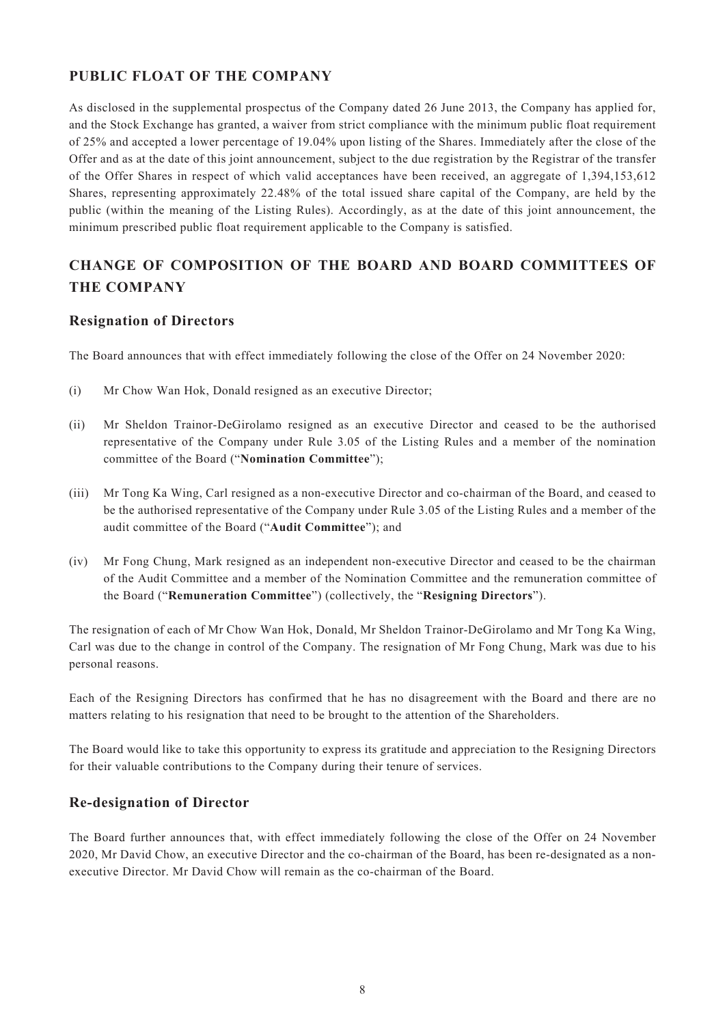## **PUBLIC FLOAT OF THE COMPANY**

As disclosed in the supplemental prospectus of the Company dated 26 June 2013, the Company has applied for, and the Stock Exchange has granted, a waiver from strict compliance with the minimum public float requirement of 25% and accepted a lower percentage of 19.04% upon listing of the Shares. Immediately after the close of the Offer and as at the date of this joint announcement, subject to the due registration by the Registrar of the transfer of the Offer Shares in respect of which valid acceptances have been received, an aggregate of 1,394,153,612 Shares, representing approximately 22.48% of the total issued share capital of the Company, are held by the public (within the meaning of the Listing Rules). Accordingly, as at the date of this joint announcement, the minimum prescribed public float requirement applicable to the Company is satisfied.

# **CHANGE OF COMPOSITION OF THE BOARD AND BOARD COMMITTEES OF THE COMPANY**

#### **Resignation of Directors**

The Board announces that with effect immediately following the close of the Offer on 24 November 2020:

- (i) Mr Chow Wan Hok, Donald resigned as an executive Director;
- (ii) Mr Sheldon Trainor-DeGirolamo resigned as an executive Director and ceased to be the authorised representative of the Company under Rule 3.05 of the Listing Rules and a member of the nomination committee of the Board ("**Nomination Committee**");
- (iii) Mr Tong Ka Wing, Carl resigned as a non-executive Director and co-chairman of the Board, and ceased to be the authorised representative of the Company under Rule 3.05 of the Listing Rules and a member of the audit committee of the Board ("**Audit Committee**"); and
- (iv) Mr Fong Chung, Mark resigned as an independent non-executive Director and ceased to be the chairman of the Audit Committee and a member of the Nomination Committee and the remuneration committee of the Board ("**Remuneration Committee**") (collectively, the "**Resigning Directors**").

The resignation of each of Mr Chow Wan Hok, Donald, Mr Sheldon Trainor-DeGirolamo and Mr Tong Ka Wing, Carl was due to the change in control of the Company. The resignation of Mr Fong Chung, Mark was due to his personal reasons.

Each of the Resigning Directors has confirmed that he has no disagreement with the Board and there are no matters relating to his resignation that need to be brought to the attention of the Shareholders.

The Board would like to take this opportunity to express its gratitude and appreciation to the Resigning Directors for their valuable contributions to the Company during their tenure of services.

#### **Re-designation of Director**

The Board further announces that, with effect immediately following the close of the Offer on 24 November 2020, Mr David Chow, an executive Director and the co-chairman of the Board, has been re-designated as a nonexecutive Director. Mr David Chow will remain as the co-chairman of the Board.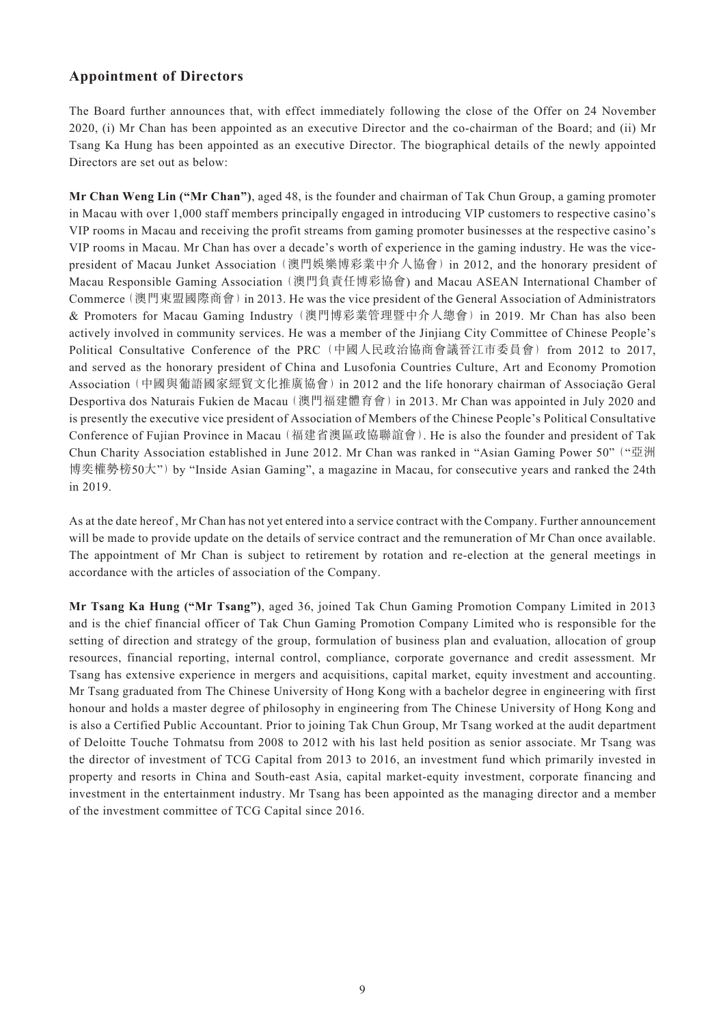#### **Appointment of Directors**

The Board further announces that, with effect immediately following the close of the Offer on 24 November 2020, (i) Mr Chan has been appointed as an executive Director and the co-chairman of the Board; and (ii) Mr Tsang Ka Hung has been appointed as an executive Director. The biographical details of the newly appointed Directors are set out as below:

**Mr Chan Weng Lin ("Mr Chan")**, aged 48, is the founder and chairman of Tak Chun Group, a gaming promoter in Macau with over 1,000 staff members principally engaged in introducing VIP customers to respective casino's VIP rooms in Macau and receiving the profit streams from gaming promoter businesses at the respective casino's VIP rooms in Macau. Mr Chan has over a decade's worth of experience in the gaming industry. He was the vicepresident of Macau Junket Association (澳門娛樂博彩業中介人協會) in 2012, and the honorary president of Macau Responsible Gaming Association (澳門負責任博彩協會) and Macau ASEAN International Chamber of Commerce (澳門東盟國際商會) in 2013. He was the vice president of the General Association of Administrators & Promoters for Macau Gaming Industry (澳門博彩業管理暨中介人總會) in 2019. Mr Chan has also been actively involved in community services. He was a member of the Jinjiang City Committee of Chinese People's Political Consultative Conference of the PRC (中國人民政治協商會議晉江市委員會) from 2012 to 2017, and served as the honorary president of China and Lusofonia Countries Culture, Art and Economy Promotion Association (中國與葡語國家經貿文化推廣協會) in 2012 and the life honorary chairman of Associação Geral Desportiva dos Naturais Fukien de Macau (澳門福建體育會) in 2013. Mr Chan was appointed in July 2020 and is presently the executive vice president of Association of Members of the Chinese People's Political Consultative Conference of Fujian Province in Macau (福建省澳區政協聯誼會). He is also the founder and president of Tak Chun Charity Association established in June 2012. Mr Chan was ranked in "Asian Gaming Power 50" ("亞洲 博奕權勢榜50大") by "Inside Asian Gaming", a magazine in Macau, for consecutive years and ranked the 24th in 2019.

As at the date hereof , Mr Chan has not yet entered into a service contract with the Company. Further announcement will be made to provide update on the details of service contract and the remuneration of Mr Chan once available. The appointment of Mr Chan is subject to retirement by rotation and re-election at the general meetings in accordance with the articles of association of the Company.

**Mr Tsang Ka Hung ("Mr Tsang")**, aged 36, joined Tak Chun Gaming Promotion Company Limited in 2013 and is the chief financial officer of Tak Chun Gaming Promotion Company Limited who is responsible for the setting of direction and strategy of the group, formulation of business plan and evaluation, allocation of group resources, financial reporting, internal control, compliance, corporate governance and credit assessment. Mr Tsang has extensive experience in mergers and acquisitions, capital market, equity investment and accounting. Mr Tsang graduated from The Chinese University of Hong Kong with a bachelor degree in engineering with first honour and holds a master degree of philosophy in engineering from The Chinese University of Hong Kong and is also a Certified Public Accountant. Prior to joining Tak Chun Group, Mr Tsang worked at the audit department of Deloitte Touche Tohmatsu from 2008 to 2012 with his last held position as senior associate. Mr Tsang was the director of investment of TCG Capital from 2013 to 2016, an investment fund which primarily invested in property and resorts in China and South-east Asia, capital market-equity investment, corporate financing and investment in the entertainment industry. Mr Tsang has been appointed as the managing director and a member of the investment committee of TCG Capital since 2016.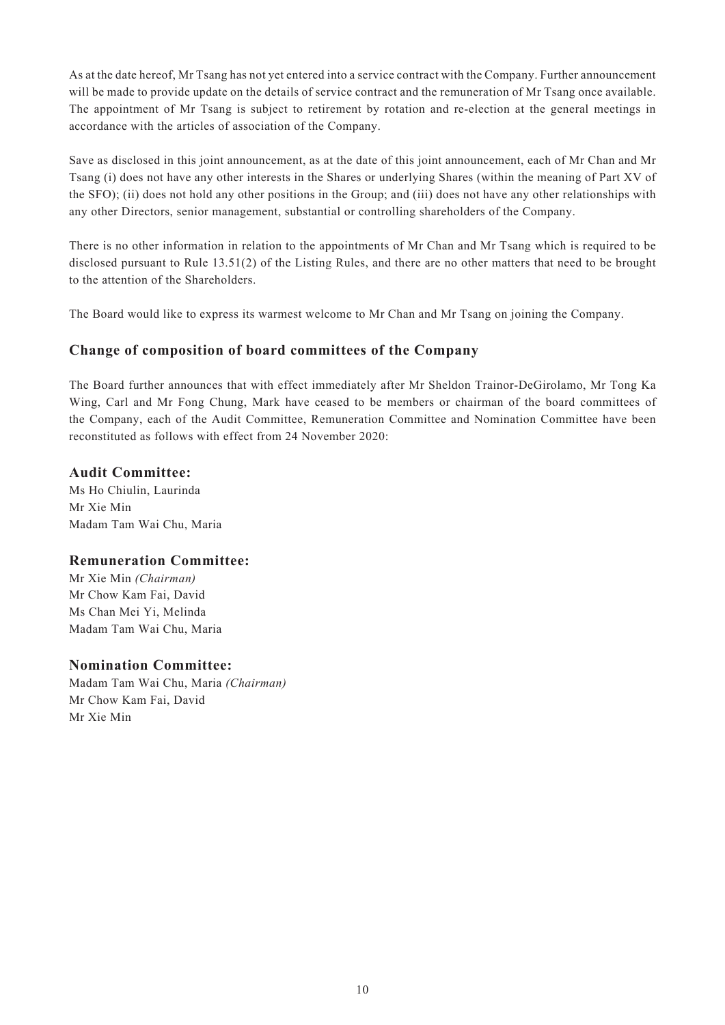As at the date hereof, Mr Tsang has not yet entered into a service contract with the Company. Further announcement will be made to provide update on the details of service contract and the remuneration of Mr Tsang once available. The appointment of Mr Tsang is subject to retirement by rotation and re-election at the general meetings in accordance with the articles of association of the Company.

Save as disclosed in this joint announcement, as at the date of this joint announcement, each of Mr Chan and Mr Tsang (i) does not have any other interests in the Shares or underlying Shares (within the meaning of Part XV of the SFO); (ii) does not hold any other positions in the Group; and (iii) does not have any other relationships with any other Directors, senior management, substantial or controlling shareholders of the Company.

There is no other information in relation to the appointments of Mr Chan and Mr Tsang which is required to be disclosed pursuant to Rule 13.51(2) of the Listing Rules, and there are no other matters that need to be brought to the attention of the Shareholders.

The Board would like to express its warmest welcome to Mr Chan and Mr Tsang on joining the Company.

### **Change of composition of board committees of the Company**

The Board further announces that with effect immediately after Mr Sheldon Trainor-DeGirolamo, Mr Tong Ka Wing, Carl and Mr Fong Chung, Mark have ceased to be members or chairman of the board committees of the Company, each of the Audit Committee, Remuneration Committee and Nomination Committee have been reconstituted as follows with effect from 24 November 2020:

#### **Audit Committee:**

Ms Ho Chiulin, Laurinda Mr Xie Min Madam Tam Wai Chu, Maria

#### **Remuneration Committee:**

Mr Xie Min *(Chairman)* Mr Chow Kam Fai, David Ms Chan Mei Yi, Melinda Madam Tam Wai Chu, Maria

#### **Nomination Committee:**

Madam Tam Wai Chu, Maria *(Chairman)* Mr Chow Kam Fai, David Mr Xie Min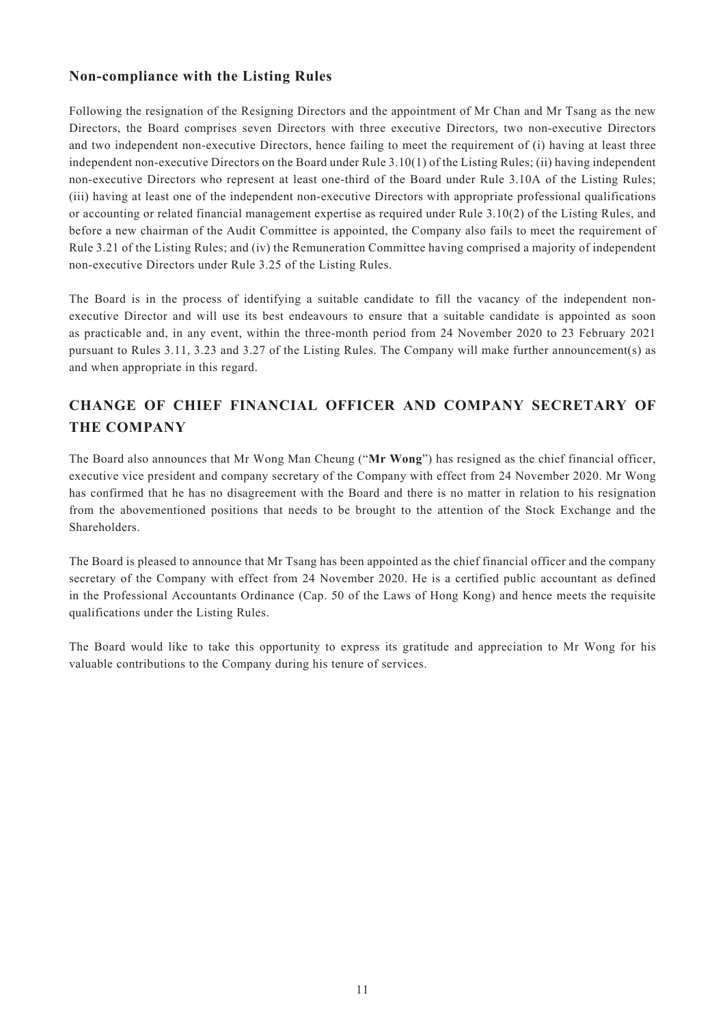### **Non-compliance with the Listing Rules**

Following the resignation of the Resigning Directors and the appointment of Mr Chan and Mr Tsang as the new Directors, the Board comprises seven Directors with three executive Directors, two non-executive Directors and two independent non-executive Directors, hence failing to meet the requirement of (i) having at least three independent non-executive Directors on the Board under Rule 3.10(1) of the Listing Rules; (ii) having independent non-executive Directors who represent at least one-third of the Board under Rule 3.10A of the Listing Rules; (iii) having at least one of the independent non-executive Directors with appropriate professional qualifications or accounting or related financial management expertise as required under Rule 3.10(2) of the Listing Rules, and before a new chairman of the Audit Committee is appointed, the Company also fails to meet the requirement of Rule 3.21 of the Listing Rules; and (iv) the Remuneration Committee having comprised a majority of independent non-executive Directors under Rule 3.25 of the Listing Rules.

The Board is in the process of identifying a suitable candidate to fill the vacancy of the independent nonexecutive Director and will use its best endeavours to ensure that a suitable candidate is appointed as soon as practicable and, in any event, within the three-month period from 24 November 2020 to 23 February 2021 pursuant to Rules 3.11, 3.23 and 3.27 of the Listing Rules. The Company will make further announcement(s) as and when appropriate in this regard.

# **CHANGE OF CHIEF FINANCIAL OFFICER AND COMPANY SECRETARY OF THE COMPANY**

The Board also announces that Mr Wong Man Cheung ("**Mr Wong**") has resigned as the chief financial officer, executive vice president and company secretary of the Company with effect from 24 November 2020. Mr Wong has confirmed that he has no disagreement with the Board and there is no matter in relation to his resignation from the abovementioned positions that needs to be brought to the attention of the Stock Exchange and the **Shareholders** 

The Board is pleased to announce that Mr Tsang has been appointed as the chief financial officer and the company secretary of the Company with effect from 24 November 2020. He is a certified public accountant as defined in the Professional Accountants Ordinance (Cap. 50 of the Laws of Hong Kong) and hence meets the requisite qualifications under the Listing Rules.

The Board would like to take this opportunity to express its gratitude and appreciation to Mr Wong for his valuable contributions to the Company during his tenure of services.